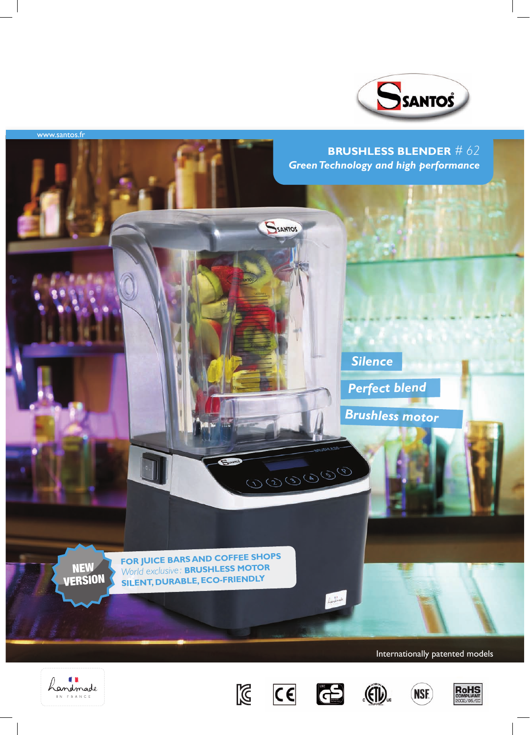













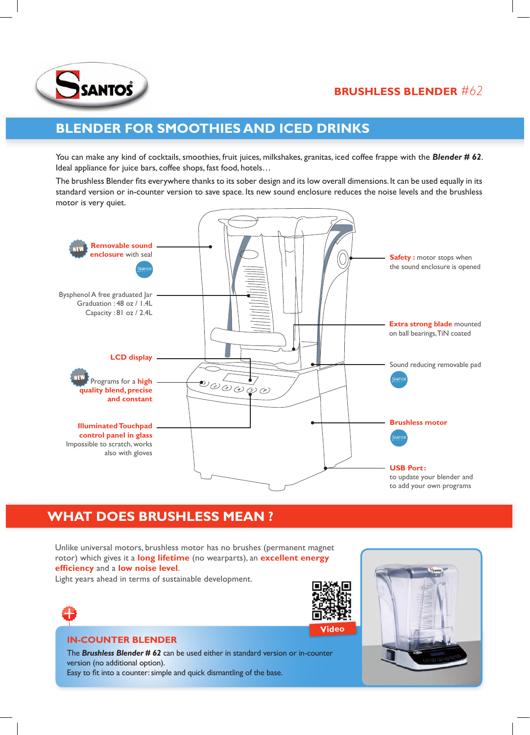

# **brushless Blender** *#62*

# **Blender for smoothies and iced drinks**

You can make any kind of cocktails, smoothies, fruit juices, milkshakes, granitas, iced coffee frappe with the **Blender # 62**. Ideal appliance for juice bars, coffee shops, fast food, hotels…

The brushless Blender fits everywhere thanks to its sober design and its low overall dimensions. It can be used equally in its standard version or in-counter version to save space. Its new sound enclosure reduces the noise levels and the brushless motor is very quiet.



# **WHAT DOES BRUSHLESS MEAN ?**

Unlike universal motors, brushless motor has no brushes (permanent magnet rotor) which gives it a **long lifetime** (no wearparts), an **excellent energy efficiency** and a **low noise level**.

Light years ahead in terms of sustainable development.



# **In-counter Blender**

The *Brushless Blender # 62* can be used either in standard version or in-counter version (no additional option). Easy to fit into a counter: simple and quick dismantling of the base.



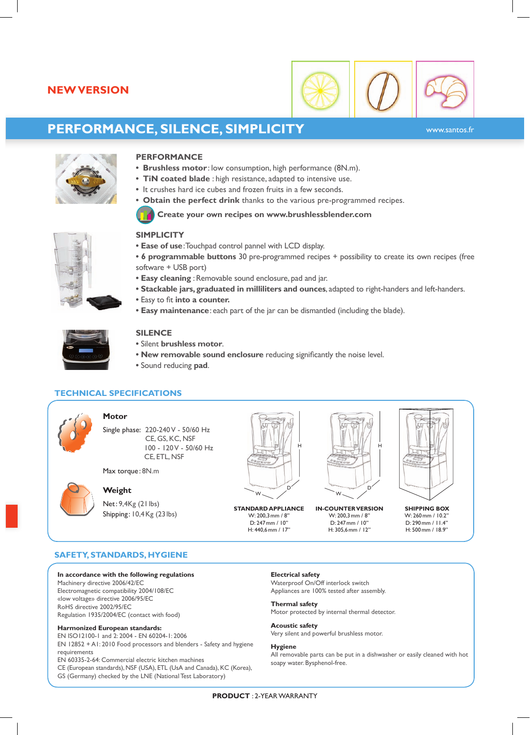# **newversion**



# **Performance, Silence, Simplicity**

www.santos.fr



### **Performance**

- **• Brushless motor** : low consumption, high performance (8N.m).
- **• TiN coated blade** : high resistance, adapted to intensive use.
- It crushes hard ice cubes and frozen fruits in a few seconds.
- **• Obtain the perfect drink** thanks to the various pre-programmed recipes.

#### **Create your own recipes on www.brushlessblender.com**

#### **SIMPLICITY**

- **• Ease of use**: Touchpad control pannel with LCD display.
- **• 6 programmable buttons** 30 pre-programmed recipes + possibility to create its own recipes (free software + USB port)
- **• Easy cleaning** : Removable sound enclosure, pad and jar.
- **• Stackable jars, graduated in milliliters and ounces**, adapted to right-handers and left-handers.
- **•** Easy to fit **into a counter.**
- **• Easy maintenance**: each part of the jar can be dismantled (including the blade).



# **Silence**

- **•** Silent **brushless motor**.
- **• New removable sound enclosure** reducing significantly the noise level.
- **•** Sound reducing **pad**.

## **Technical specifications**



#### **Motor**

Single phase: 220-240 V - 50/60 Hz CE, GS, KC, NSF 100 - 120 V - 50/60 Hz CE, ETL, NSF

Max torque: 8N.m

## **Weight**

Net: 9,4Kg (21 lbs) Shipping: 10,4Kg (23lbs)



W: 200,3mm / 8'' D: 247mm / 10'' H: 440,6mm / 17''



**Standard appliance in-counter version shipping box** W: 200,3mm / 8'' D: 247mm / 10'' H: 305,6mm / 12''



W: 260mm / 10.2'' D: 290mm / 11.4'' H: 500mm / 18.9''

# **Safety, Standards, Hygiene**

#### **In accordance with the following regulations**

Machinery directive 2006/42/EC Electromagnetic compatibility 2004/108/EC «low voltage» directive 2006/95/EC RoHS directive 2002/95/EC Regulation 1935/2004/EC (contact with food)

#### **Harmonized European standards:**

EN ISO12100-1 and 2: 2004 - EN 60204-1: 2006 EN 12852 + A1: 2010 Food processors and blenders - Safety and hygiene requirements

EN 60335-2-64: Commercial electric kitchen machines

- CE (European standards), NSF (USA), ETL (UsA and Canada), KC (Korea),
- GS (Germany) checked by the LNE (National Test Laboratory)

**Electrical safety**

Waterproof On/Off interlock switch Appliances are 100% tested after assembly.

#### **Thermal safety**

Motor protected by internal thermal detector.

## **Acoustic safety**

Very silent and powerful brushless motor.

#### **Hygiene**

All removable parts can be put in a dishwasher or easily cleaned with hot soapy water. Bysphenol-free.